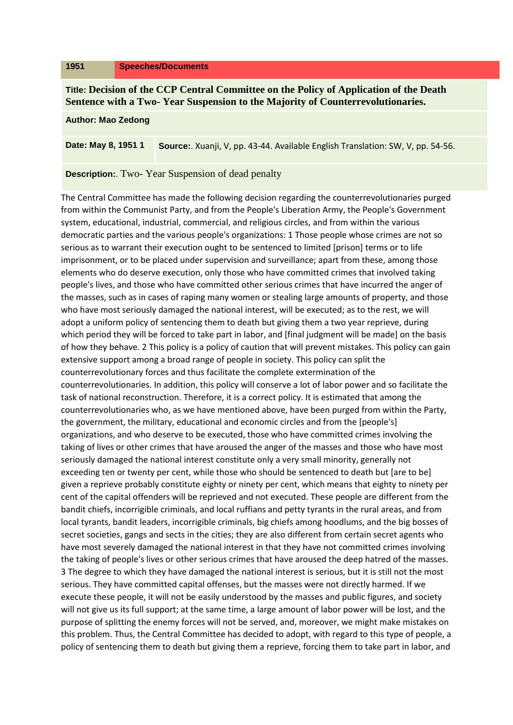## **1951 Speeches/Documents**

**Title: Decision of the CCP Central Committee on the Policy of Application of the Death Sentence with a Two- Year Suspension to the Majority of Counterrevolutionaries.**

## **Author: Mao Zedong**

**Date: May 8, 1951 1 Source:**. Xuanji, V, pp. 43-44. Available English Translation: SW, V, pp. 54-56.

## **Description:**. Two- Year Suspension of dead penalty

The Central Committee has made the following decision regarding the counterrevolutionaries purged from within the Communist Party, and from the People's Liberation Army, the People's Government system, educational, industrial, commercial, and religious circles, and from within the various democratic parties and the various people's organizations: 1 Those people whose crimes are not so serious as to warrant their execution ought to be sentenced to limited [prison] terms or to life imprisonment, or to be placed under supervision and surveillance; apart from these, among those elements who do deserve execution, only those who have committed crimes that involved taking people's lives, and those who have committed other serious crimes that have incurred the anger of the masses, such as in cases of raping many women or stealing large amounts of property, and those who have most seriously damaged the national interest, will be executed; as to the rest, we will adopt a uniform policy of sentencing them to death but giving them a two year reprieve, during which period they will be forced to take part in labor, and [final judgment will be made] on the basis of how they behave. 2 This policy is a policy of caution that will prevent mistakes. This policy can gain extensive support among a broad range of people in society. This policy can split the counterrevolutionary forces and thus facilitate the complete extermination of the counterrevolutionaries. In addition, this policy will conserve a lot of labor power and so facilitate the task of national reconstruction. Therefore, it is a correct policy. It is estimated that among the counterrevolutionaries who, as we have mentioned above, have been purged from within the Party, the government, the military, educational and economic circles and from the [people's] organizations, and who deserve to be executed, those who have committed crimes involving the taking of lives or other crimes that have aroused the anger of the masses and those who have most seriously damaged the national interest constitute only a very small minority, generally not exceeding ten or twenty per cent, while those who should be sentenced to death but [are to be] given a reprieve probably constitute eighty or ninety per cent, which means that eighty to ninety per cent of the capital offenders will be reprieved and not executed. These people are different from the bandit chiefs, incorrigible criminals, and local ruffians and petty tyrants in the rural areas, and from local tyrants, bandit leaders, incorrigible criminals, big chiefs among hoodlums, and the big bosses of secret societies, gangs and sects in the cities; they are also different from certain secret agents who have most severely damaged the national interest in that they have not committed crimes involving the taking of people's lives or other serious crimes that have aroused the deep hatred of the masses. 3 The degree to which they have damaged the national interest is serious, but it is still not the most serious. They have committed capital offenses, but the masses were not directly harmed. If we execute these people, it will not be easily understood by the masses and public figures, and society will not give us its full support; at the same time, a large amount of labor power will be lost, and the purpose of splitting the enemy forces will not be served, and, moreover, we might make mistakes on this problem. Thus, the Central Committee has decided to adopt, with regard to this type of people, a policy of sentencing them to death but giving them a reprieve, forcing them to take part in labor, and